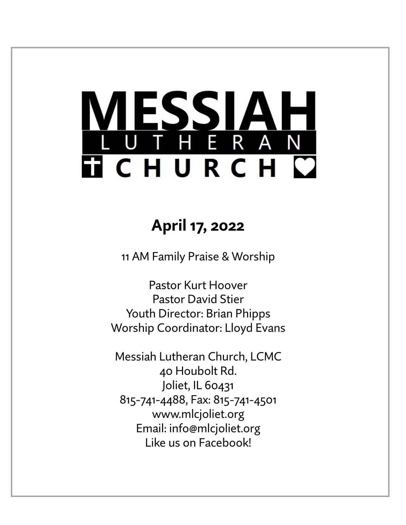# ESSIA THERAN **TICHURCH C**

## **April 17, 2022**

11 AM Family Praise & Worship

Pastor Kurt Hoover Pastor David Stier Youth Director: Brian Phipps Worship Coordinator: Lloyd Evans

Messiah Lutheran Church, LCMC 40 Houbolt Rd. Joliet, IL 60431 815-741-4488, Fax: 815-741-4501 www.mlcjoliet.org Email: info@mlcjoliet.org Like us on Facebook!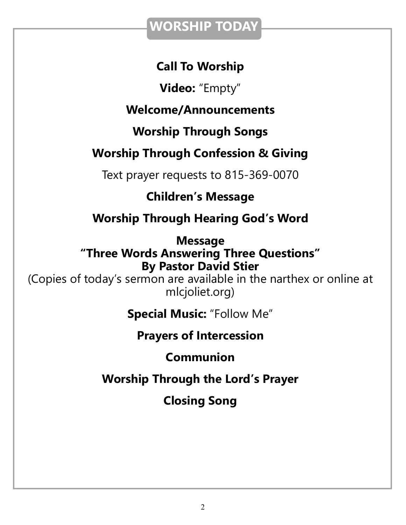### **WORSHIP TODAY**

### **Call To Worship**

**Video:** "Empty"

### **Welcome/Announcements**

**Worship Through Songs**

### **Worship Through Confession & Giving**

Text prayer requests to 815-369-0070

### **Children's Message**

### **Worship Through Hearing God's Word**

**Message "Three Words Answering Three Questions" By Pastor David Stier**

(Copies of today's sermon are available in the narthex or online at mlcjoliet.org)

**Special Music:** "Follow Me"

### **Prayers of Intercession**

### **Communion**

### **Worship Through the Lord's Prayer**

### **Closing Song**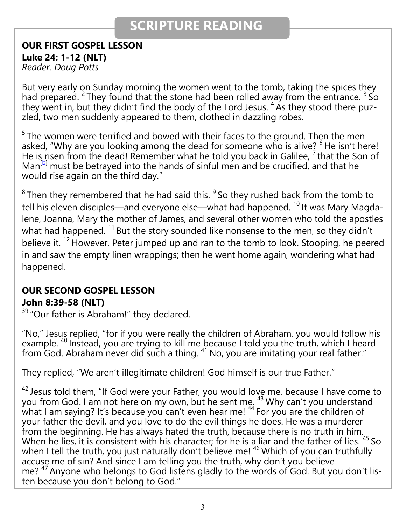### **SCRIPTURE READING**

**OUR FIRST GOSPEL LESSON Luke 24: 1-12 (NLT)** 

*Reader: Doug Potts*

But very early on Sunday morning the women went to the tomb, taking the spices they had prepared. <sup>2</sup> They found that the stone had been rolled away from the entrance.  $3\text{ So}$ they went in, but they didn't find the body of the Lord Jesus.  $4\text{ Ås}$  they stood there puzzled, two men suddenly appeared to them, clothed in dazzling robes.

 $5$ The women were terrified and bowed with their faces to the ground. Then the men asked, "Why are you looking among the dead for someone who is alive?  $6$  He isn't here! He is risen from the dead! Remember what he told you back in Galilee,  $^7$  that the Son of  $Man^{[b]}$  $Man^{[b]}$  $Man^{[b]}$  must be betrayed into the hands of sinful men and be crucified, and that he would rise again on the third day."

 $8$ Then they remembered that he had said this.  $9$  So they rushed back from the tomb to tell his eleven disciples—and everyone else—what had happened.<sup>10</sup> It was Mary Magdalene, Joanna, Mary the mother of James, and several other women who told the apostles what had happened.  $11$  But the story sounded like nonsense to the men, so they didn't believe it.<sup>12</sup> However, Peter jumped up and ran to the tomb to look. Stooping, he peered in and saw the empty linen wrappings; then he went home again, wondering what had happened.

### **OUR SECOND GOSPEL LESSON**

#### **John 8:39-58 (NLT)**

<sup>39</sup> "Our father is Abraham!" they declared.

"No," Jesus replied, "for if you were really the children of Abraham, you would follow his example. <sup>40</sup> Instead, you are trying to kill me because I told you the truth, which I heard from God. Abraham never did such a thing.  $41$  No, you are imitating your real father."

They replied, "We aren't illegitimate children! God himself is our true Father."

 $42$  Jesus told them, "If God were your Father, you would love me, because I have come to you from God. I am not here on my own, but he sent me.  $43$  Why can't you understand what I am saying? It's because you can't even hear me!  $44$  For you are the children of your father the devil, and you love to do the evil things he does. He was a murderer from the beginning. He has always hated the truth, because there is no truth in him. When he lies, it is consistent with his character; for he is a liar and the father of lies.  $45$  So when I tell the truth, you just naturally don't believe me! <sup>46</sup> Which of you can truthfully accuse me of sin? And since I am telling you the truth, why don't you believe me? <sup>47</sup> Anyone who belongs to God listens gladly to the words of God. But you don't listen because you don't belong to God."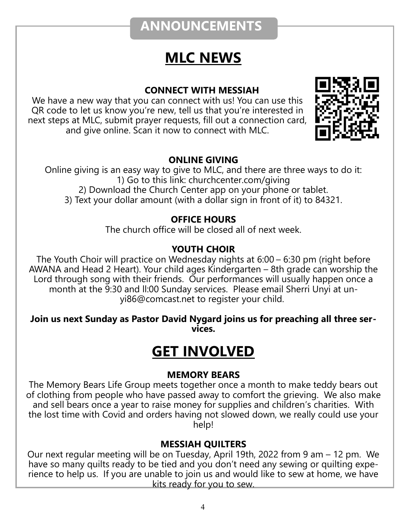### **ANNOUNCEMENTS**

### **MLC NEWS**

#### **CONNECT WITH MESSIAH**

We have a new way that you can connect with us! You can use this QR code to let us know you're new, tell us that you're interested in next steps at MLC, submit prayer requests, fill out a connection card, and give online. Scan it now to connect with MLC.



#### **ONLINE GIVING**

Online giving is an easy way to give to MLC, and there are three ways to do it: 1) Go to this link: churchcenter.com/giving 2) Download the Church Center app on your phone or tablet. 3) Text your dollar amount (with a dollar sign in front of it) to 84321.

#### **OFFICE HOURS**

The church office will be closed all of next week.

#### **YOUTH CHOIR**

The Youth Choir will practice on Wednesday nights at 6:00 – 6:30 pm (right before AWANA and Head 2 Heart). Your child ages Kindergarten – 8th grade can worship the Lord through song with their friends. Our performances will usually happen once a month at the 9:30 and ll:00 Sunday services. Please email Sherri Unyi at unyi86@comcast.net to register your child.

#### **Join us next Sunday as Pastor David Nygard joins us for preaching all three services.**

### **GET INVOLVED**

#### **MEMORY BEARS**

The Memory Bears Life Group meets together once a month to make teddy bears out of clothing from people who have passed away to comfort the grieving. We also make and sell bears once a year to raise money for supplies and children's charities. With the lost time with Covid and orders having not slowed down, we really could use your help!

#### **MESSIAH QUILTERS**

Our next regular meeting will be on Tuesday, April 19th, 2022 from 9 am – 12 pm. We have so many quilts ready to be tied and you don't need any sewing or quilting experience to help us. If you are unable to join us and would like to sew at home, we have kits ready for you to sew.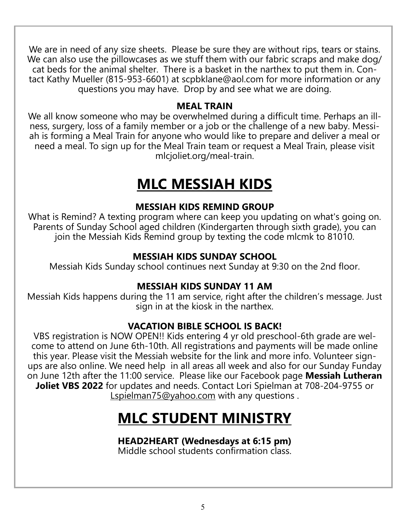We are in need of any size sheets. Please be sure they are without rips, tears or stains. We can also use the pillowcases as we stuff them with our fabric scraps and make dog/ cat beds for the animal shelter. There is a basket in the narthex to put them in. Contact Kathy Mueller (815-953-6601) at scpbklane@aol.com for more information or any questions you may have. Drop by and see what we are doing.

#### **MEAL TRAIN**

We all know someone who may be overwhelmed during a difficult time. Perhaps an illness, surgery, loss of a family member or a job or the challenge of a new baby. Messiah is forming a Meal Train for anyone who would like to prepare and deliver a meal or need a meal. To sign up for the Meal Train team or request a Meal Train, please visit mlcjoliet.org/meal-train.

### **MLC MESSIAH KIDS**

#### **MESSIAH KIDS REMIND GROUP**

What is Remind? A texting program where can keep you updating on what's going on. Parents of Sunday School aged children (Kindergarten through sixth grade), you can join the Messiah Kids Remind group by texting the code mlcmk to 81010.

#### **MESSIAH KIDS SUNDAY SCHOOL**

Messiah Kids Sunday school continues next Sunday at 9:30 on the 2nd floor.

#### **MESSIAH KIDS SUNDAY 11 AM**

Messiah Kids happens during the 11 am service, right after the children's message. Just sign in at the kiosk in the narthex.

#### **VACATION BIBLE SCHOOL IS BACK!**

VBS registration is NOW OPEN!! Kids entering 4 yr old preschool-6th grade are welcome to attend on June 6th-10th. All registrations and payments will be made online this year. Please visit the Messiah website for the link and more info. Volunteer signups are also online. We need help in all areas all week and also for our Sunday Funday on June 12th after the 11:00 service. Please like our Facebook page **Messiah Lutheran Joliet VBS 2022** for updates and needs. Contact Lori Spielman at 708-204-9755 or [Lspielman75@yahoo.com](mailto:Lspielman75@yahoo.com) with any questions.

### **MLC STUDENT MINISTRY**

#### **HEAD2HEART (Wednesdays at 6:15 pm)**

Middle school students confirmation class.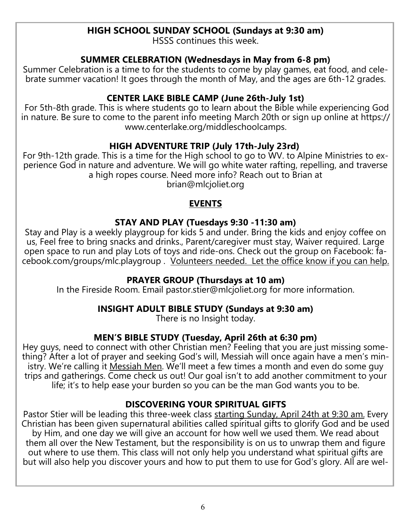#### **HIGH SCHOOL SUNDAY SCHOOL (Sundays at 9:30 am)**

HSSS continues this week.

#### **SUMMER CELEBRATION (Wednesdays in May from 6-8 pm)**

Summer Celebration is a time to for the students to come by play games, eat food, and celebrate summer vacation! It goes through the month of May, and the ages are 6th-12 grades.

#### **CENTER LAKE BIBLE CAMP (June 26th-July 1st)**

For 5th-8th grade. This is where students go to learn about the Bible while experiencing God in nature. Be sure to come to the parent info meeting March 20th or sign up online at https:// www.centerlake.org/middleschoolcamps.

#### **HIGH ADVENTURE TRIP (July 17th-July 23rd)**

For 9th-12th grade. This is a time for the High school to go to WV. to Alpine Ministries to experience God in nature and adventure. We will go white water rafting, repelling, and traverse a high ropes course. Need more info? Reach out to Brian at brian@mlcjoliet.org

#### **EVENTS**

#### **STAY AND PLAY (Tuesdays 9:30 -11:30 am)**

Stay and Play is a weekly playgroup for kids 5 and under. Bring the kids and enjoy coffee on us, Feel free to bring snacks and drinks., Parent/caregiver must stay, Waiver required. Large open space to run and play Lots of toys and ride-ons. Check out the group on Facebook: facebook.com/groups/mlc.playgroup . Volunteers needed. Let the office know if you can help.

#### **PRAYER GROUP (Thursdays at 10 am)**

In the Fireside Room. Email pastor.stier@mlcjoliet.org for more information.

#### **INSIGHT ADULT BIBLE STUDY (Sundays at 9:30 am)**

There is no Insight today.

#### **MEN'S BIBLE STUDY (Tuesday, April 26th at 6:30 pm)**

Hey guys, need to connect with other Christian men? Feeling that you are just missing something? After a lot of prayer and seeking God's will, Messiah will once again have a men's ministry. We're calling it Messiah Men. We'll meet a few times a month and even do some guy trips and gatherings. Come check us out! Our goal isn't to add another commitment to your life; it's to help ease your burden so you can be the man God wants you to be.

#### **DISCOVERING YOUR SPIRITUAL GIFTS**

Pastor Stier will be leading this three-week class starting Sunday, April 24th at 9:30 am. Every Christian has been given supernatural abilities called spiritual gifts to glorify God and be used by Him, and one day we will give an account for how well we used them. We read about them all over the New Testament, but the responsibility is on us to unwrap them and figure out where to use them. This class will not only help you understand what spiritual gifts are but will also help you discover yours and how to put them to use for God's glory. All are wel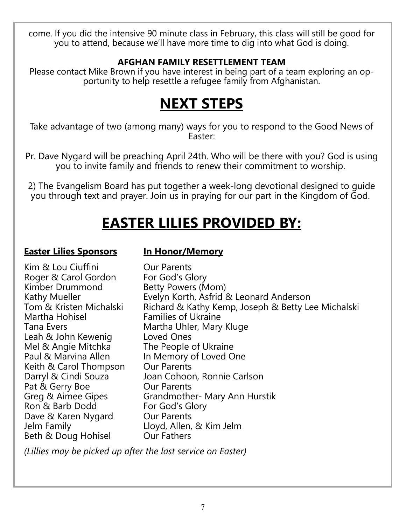come. If you did the intensive 90 minute class in February, this class will still be good for you to attend, because we'll have more time to dig into what God is doing.

#### **AFGHAN FAMILY RESETTLEMENT TEAM**

Please contact Mike Brown if you have interest in being part of a team exploring an opportunity to help resettle a refugee family from Afghanistan.

### **NEXT STEPS**

Take advantage of two (among many) ways for you to respond to the Good News of Easter:

Pr. Dave Nygard will be preaching April 24th. Who will be there with you? God is using you to invite family and friends to renew their commitment to worship.

2) The Evangelism Board has put together a week-long devotional designed to guide you through text and prayer. Join us in praying for our part in the Kingdom of God.

### **EASTER LILIES PROVIDED BY:**

#### **Easter Lilies Sponsors In Honor/Memory**

Kim & Lou Ciuffini **Callet Container Container** Our Parents Roger & Carol Gordon For God's Glory Kimber Drummond Betty Powers (Mom) Martha Hohisel Families of Ukraine Leah & John Kewenig Loved Ones Mel & Angie Mitchka The People of Ukraine Paul & Marvina Allen In Memory of Loved One Keith & Carol Thompson Our Parents Pat & Gerry Boe **Our Parents** Ron & Barb Dodd Dave & Karen Nygard Our Parents Jelm Family Lloyd, Allen, & Kim Jelm Beth & Doug Hohisel Our Fathers

Kathy Mueller **Evelyn Korth, Asfrid & Leonard Anderson** Tom & Kristen Michalski Richard & Kathy Kemp, Joseph & Betty Lee Michalski Tana Evers **Martha Uhler, Mary Kluge** Darryl & Cindi Souza Joan Cohoon, Ronnie Carlson Greg & Aimee Gipes Grandmother- Mary Ann Hurstik<br>Ron & Barb Dodd For God's Glory

*(Lillies may be picked up after the last service on Easter)*